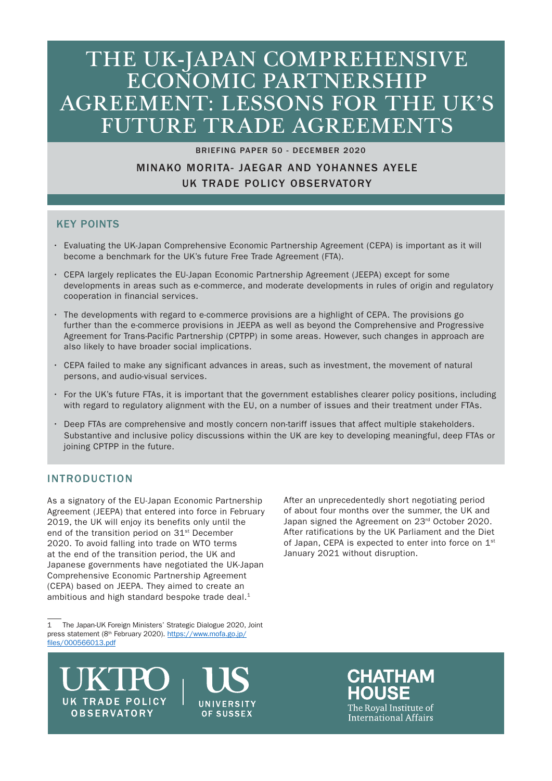# THE UK-JAPAN COMPREHENSIVE ECONOMIC PARTNERSHIP AGREEMENT: LESSONS FOR THE UK'S FUTURE TRADE AGREEMENTS

#### BRIEFING PAPER 50 - DECEMBER 2020

# MINAKO MORITA- JAEGAR AND YOHANNES AYELE UK TRADE POLICY OBSERVATORY

# KEY POINTS

- Evaluating the UK-Japan Comprehensive Economic Partnership Agreement (CEPA) is important as it will become a benchmark for the UK's future Free Trade Agreement (FTA).
- CEPA largely replicates the EU-Japan Economic Partnership Agreement (JEEPA) except for some developments in areas such as e-commerce, and moderate developments in rules of origin and regulatory cooperation in financial services.
- The developments with regard to e-commerce provisions are a highlight of CEPA. The provisions go further than the e-commerce provisions in JEEPA as well as beyond the Comprehensive and Progressive Agreement for Trans-Pacific Partnership (CPTPP) in some areas. However, such changes in approach are also likely to have broader social implications.
- CEPA failed to make any significant advances in areas, such as investment, the movement of natural persons, and audio-visual services.
- For the UK's future FTAs, it is important that the government establishes clearer policy positions, including with regard to regulatory alignment with the EU, on a number of issues and their treatment under FTAs.
- Deep FTAs are comprehensive and mostly concern non-tariff issues that affect multiple stakeholders. Substantive and inclusive policy discussions within the UK are key to developing meaningful, deep FTAs or joining CPTPP in the future.

## INTRODUCTION

As a signatory of the EU-Japan Economic Partnership Agreement (JEEPA) that entered into force in February 2019, the UK will enjoy its benefits only until the end of the transition period on 31<sup>st</sup> December 2020. To avoid falling into trade on WTO terms at the end of the transition period, the UK and Japanese governments have negotiated the UK-Japan Comprehensive Economic Partnership Agreement (CEPA) based on JEEPA. They aimed to create an ambitious and high standard bespoke trade deal.<sup>1</sup>

1 The Japan-UK Foreign Ministers' Strategic Dialogue 2020, Joint press statement (8th February 2020). https://www.mofa.go.jp/ files/000566013.pdf

After an unprecedentedly short negotiating period of about four months over the summer, the UK and Japan signed the Agreement on 23rd October 2020. After ratifications by the UK Parliament and the Diet of Japan, CEPA is expected to enter into force on 1<sup>st</sup> January 2021 without disruption.



UNIVERSITY OF SUSSEX

**CHATHAM** The Roval Institute of International Affairs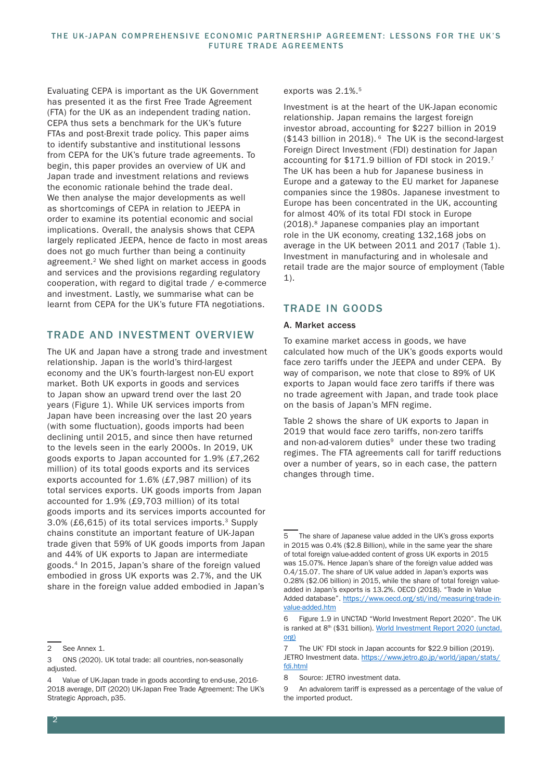Evaluating CEPA is important as the UK Government has presented it as the first Free Trade Agreement (FTA) for the UK as an independent trading nation. CEPA thus sets a benchmark for the UK's future FTAs and post-Brexit trade policy. This paper aims to identify substantive and institutional lessons from CEPA for the UK's future trade agreements. To begin, this paper provides an overview of UK and Japan trade and investment relations and reviews the economic rationale behind the trade deal. We then analyse the major developments as well as shortcomings of CEPA in relation to JEEPA in order to examine its potential economic and social implications. Overall, the analysis shows that CEPA largely replicated JEEPA, hence de facto in most areas does not go much further than being a continuity agreement.2 We shed light on market access in goods and services and the provisions regarding regulatory cooperation, with regard to digital trade / e-commerce and investment. Lastly, we summarise what can be learnt from CEPA for the UK's future FTA negotiations.

## TRADE AND INVESTMENT OVERVIEW

The UK and Japan have a strong trade and investment relationship. Japan is the world's third-largest economy and the UK's fourth-largest non-EU export market. Both UK exports in goods and services to Japan show an upward trend over the last 20 years (Figure 1). While UK services imports from Japan have been increasing over the last 20 years (with some fluctuation), goods imports had been declining until 2015, and since then have returned to the levels seen in the early 2000s. In 2019, UK goods exports to Japan accounted for 1.9% (£7,262 million) of its total goods exports and its services exports accounted for 1.6% (£7,987 million) of its total services exports. UK goods imports from Japan accounted for 1.9% (£9,703 million) of its total goods imports and its services imports accounted for 3.0% (£6,615) of its total services imports.3 Supply chains constitute an important feature of UK-Japan trade given that 59% of UK goods imports from Japan and 44% of UK exports to Japan are intermediate goods.4 In 2015, Japan's share of the foreign valued embodied in gross UK exports was 2.7%, and the UK share in the foreign value added embodied in Japan's

#### exports was 2.1%.<sup>5</sup>

Investment is at the heart of the UK-Japan economic relationship. Japan remains the largest foreign investor abroad, accounting for \$227 billion in 2019 (\$143 billion in 2018). 6 The UK is the second-largest Foreign Direct Investment (FDI) destination for Japan accounting for \$171.9 billion of FDI stock in 2019.7 The UK has been a hub for Japanese business in Europe and a gateway to the EU market for Japanese companies since the 1980s. Japanese investment to Europe has been concentrated in the UK, accounting for almost 40% of its total FDI stock in Europe (2018).8 Japanese companies play an important role in the UK economy, creating 132,168 jobs on average in the UK between 2011 and 2017 (Table 1). Investment in manufacturing and in wholesale and retail trade are the major source of employment (Table 1).

## TRADE IN GOODS

#### A. Market access

To examine market access in goods, we have calculated how much of the UK's goods exports would face zero tariffs under the JEEPA and under CEPA. By way of comparison, we note that close to 89% of UK exports to Japan would face zero tariffs if there was no trade agreement with Japan, and trade took place on the basis of Japan's MFN regime.

Table 2 shows the share of UK exports to Japan in 2019 that would face zero tariffs, non-zero tariffs and non-ad-valorem duties<sup>9</sup> under these two trading regimes. The FTA agreements call for tariff reductions over a number of years, so in each case, the pattern changes through time.

<sup>2</sup> See Annex 1.

<sup>3</sup> ONS (2020). UK total trade: all countries, non-seasonally adjusted.

<sup>4</sup> Value of UK-Japan trade in goods according to end-use, 2016- 2018 average, DIT (2020) UK-Japan Free Trade Agreement: The UK's Strategic Approach, p35.

The share of Japanese value added in the UK's gross exports in 2015 was 0.4% (\$2.8 Billion), while in the same year the share of total foreign value-added content of gross UK exports in 2015 was 15.07%. Hence Japan's share of the foreign value added was 0.4/15.07. The share of UK value added in Japan's exports was 0.28% (\$2.06 billion) in 2015, while the share of total foreign valueadded in Japan's exports is 13.2%. OECD (2018). "Trade in Value Added database". https://www.oecd.org/sti/ind/measuring-trade-invalue-added.htm

<sup>6</sup> Figure 1.9 in UNCTAD "World Investment Report 2020". The UK is ranked at 8<sup>th</sup> (\$31 billion). World Investment Report 2020 (unctad. org)

<sup>7</sup> The UK' FDI stock in Japan accounts for \$22.9 billion (2019). JETRO Investment data. https://www.jetro.go.jp/world/japan/stats/ fdi.html

<sup>8</sup> Source: JETRO investment data.

<sup>9</sup> An advalorem tariff is expressed as a percentage of the value of the imported product.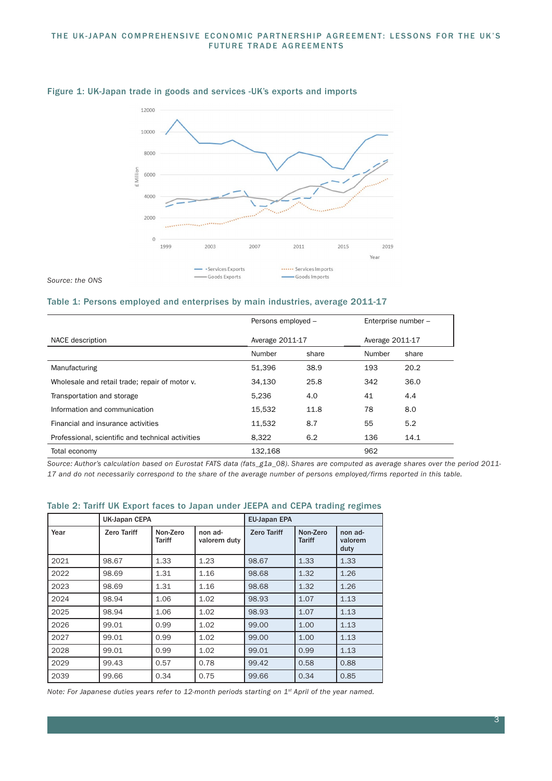#### THE UK-JAPAN COMPREHENSIVE ECONOMIC PARTNERSHIP AGREEMENT: LESSONS FOR THE UK'S FUTURE TRADE AGREEMENTS



#### Figure 1: UK-Japan trade in goods and services -UK's exports and imports

*Source: the ONS* 

#### Table 1: Persons employed and enterprises by main industries, average 2011-17

|                                                   | Persons employed - |       | Enterprise number - |       |
|---------------------------------------------------|--------------------|-------|---------------------|-------|
| NACE description                                  | Average 2011-17    |       | Average 2011-17     |       |
|                                                   | Number             | share | Number              | share |
| Manufacturing                                     | 51.396             | 38.9  | 193                 | 20.2  |
| Wholesale and retail trade; repair of motor v.    | 34.130             | 25.8  | 342                 | 36.0  |
| Transportation and storage                        | 5.236              | 4.0   | 41                  | 4.4   |
| Information and communication                     | 15,532             | 11.8  | 78                  | 8.0   |
| Financial and insurance activities                | 11.532             | 8.7   | 55                  | 5.2   |
| Professional, scientific and technical activities | 8.322              | 6.2   | 136                 | 14.1  |
| Total economy                                     | 132.168            |       | 962                 |       |

*Source: Author's calculation based on Eurostat FATS data (fats\_g1a\_08). Shares are computed as average shares over the period 2011- 17 and do not necessarily correspond to the share of the average number of persons employed/firms reported in this table.*

#### Table 2: Tariff UK Export faces to Japan under JEEPA and CEPA trading regimes

|      | UK-Japan CEPA      |                    |                         | <b>EU-Japan EPA</b> |                           |                            |
|------|--------------------|--------------------|-------------------------|---------------------|---------------------------|----------------------------|
| Year | <b>Zero Tariff</b> | Non-Zero<br>Tariff | non ad-<br>valorem duty | <b>Zero Tariff</b>  | Non-Zero<br><b>Tariff</b> | non ad-<br>valorem<br>duty |
| 2021 | 98.67              | 1.33               | 1.23                    | 98.67               | 1.33                      | 1.33                       |
| 2022 | 98.69              | 1.31               | 1.16                    | 98.68               | 1.32                      | 1.26                       |
| 2023 | 98.69              | 1.31               | 1.16                    | 98.68               | 1.32                      | 1.26                       |
| 2024 | 98.94              | 1.06               | 1.02                    | 98.93               | 1.07                      | 1.13                       |
| 2025 | 98.94              | 1.06               | 1.02                    | 98.93               | 1.07                      | 1.13                       |
| 2026 | 99.01              | 0.99               | 1.02                    | 99.00               | 1.00                      | 1.13                       |
| 2027 | 99.01              | 0.99               | 1.02                    | 99.00               | 1.00                      | 1.13                       |
| 2028 | 99.01              | 0.99               | 1.02                    | 99.01               | 0.99                      | 1.13                       |
| 2029 | 99.43              | 0.57               | 0.78                    | 99.42               | 0.58                      | 0.88                       |
| 2039 | 99.66              | 0.34               | 0.75                    | 99.66               | 0.34                      | 0.85                       |

*Note: For Japanese duties years refer to 12-month periods starting on 1st April of the year named.*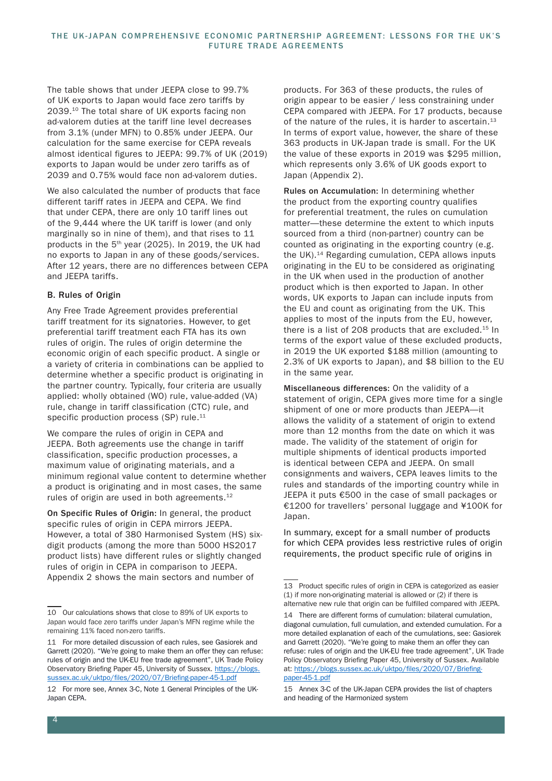The table shows that under JEEPA close to 99.7% of UK exports to Japan would face zero tariffs by 2039.10 The total share of UK exports facing non ad-valorem duties at the tariff line level decreases from 3.1% (under MFN) to 0.85% under JEEPA. Our calculation for the same exercise for CEPA reveals almost identical figures to JEEPA: 99.7% of UK (2019) exports to Japan would be under zero tariffs as of 2039 and 0.75% would face non ad-valorem duties.

We also calculated the number of products that face different tariff rates in JEEPA and CEPA. We find that under CEPA, there are only 10 tariff lines out of the 9,444 where the UK tariff is lower (and only marginally so in nine of them), and that rises to 11 products in the  $5<sup>th</sup>$  year (2025). In 2019, the UK had no exports to Japan in any of these goods/services. After 12 years, there are no differences between CEPA and JEEPA tariffs.

## B. Rules of Origin

Any Free Trade Agreement provides preferential tariff treatment for its signatories. However, to get preferential tariff treatment each FTA has its own rules of origin. The rules of origin determine the economic origin of each specific product. A single or a variety of criteria in combinations can be applied to determine whether a specific product is originating in the partner country. Typically, four criteria are usually applied: wholly obtained (WO) rule, value-added (VA) rule, change in tariff classification (CTC) rule, and specific production process (SP) rule. $11$ 

We compare the rules of origin in CEPA and JEEPA. Both agreements use the change in tariff classification, specific production processes, a maximum value of originating materials, and a minimum regional value content to determine whether a product is originating and in most cases, the same rules of origin are used in both agreements.12

On Specific Rules of Origin: In general, the product specific rules of origin in CEPA mirrors JEEPA. However, a total of 380 Harmonised System (HS) sixdigit products (among the more than 5000 HS2017 product lists) have different rules or slightly changed rules of origin in CEPA in comparison to JEEPA. Appendix 2 shows the main sectors and number of

products. For 363 of these products, the rules of origin appear to be easier / less constraining under CEPA compared with JEEPA. For 17 products, because of the nature of the rules, it is harder to ascertain.<sup>13</sup> In terms of export value, however, the share of these 363 products in UK-Japan trade is small. For the UK the value of these exports in 2019 was \$295 million, which represents only 3.6% of UK goods export to Japan (Appendix 2).

Rules on Accumulation: In determining whether the product from the exporting country qualifies for preferential treatment, the rules on cumulation matter—these determine the extent to which inputs sourced from a third (non-partner) country can be counted as originating in the exporting country (e.g. the UK).14 Regarding cumulation, CEPA allows inputs originating in the EU to be considered as originating in the UK when used in the production of another product which is then exported to Japan. In other words, UK exports to Japan can include inputs from the EU and count as originating from the UK. This applies to most of the inputs from the EU, however, there is a list of 208 products that are excluded.<sup>15</sup> In terms of the export value of these excluded products, in 2019 the UK exported \$188 million (amounting to 2.3% of UK exports to Japan), and \$8 billion to the EU in the same year.

Miscellaneous differences: On the validity of a statement of origin, CEPA gives more time for a single shipment of one or more products than JEEPA—it allows the validity of a statement of origin to extend more than 12 months from the date on which it was made. The validity of the statement of origin for multiple shipments of identical products imported is identical between CEPA and JEEPA. On small consignments and waivers, CEPA leaves limits to the rules and standards of the importing country while in JEEPA it puts €500 in the case of small packages or €1200 for travellers' personal luggage and ¥100K for Japan.

In summary, except for a small number of products for which CEPA provides less restrictive rules of origin requirements, the product specific rule of origins in

<sup>10</sup> Our calculations shows that close to 89% of UK exports to Japan would face zero tariffs under Japan's MFN regime while the remaining 11% faced non-zero tariffs.

<sup>11</sup> For more detailed discussion of each rules, see Gasiorek and Garrett (2020). "We're going to make them an offer they can refuse: rules of origin and the UK-EU free trade agreement", UK Trade Policy Observatory Briefing Paper 45, University of Sussex. https://blogs. sussex.ac.uk/uktpo/files/2020/07/Briefing-paper-45-1.pdf

<sup>12</sup> For more see, Annex 3-C, Note 1 General Principles of the UK-Japan CEPA.

<sup>13</sup> Product specific rules of origin in CEPA is categorized as easier (1) if more non-originating material is allowed or (2) if there is alternative new rule that origin can be fulfilled compared with JEEPA.

<sup>14</sup> There are different forms of cumulation: bilateral cumulation, diagonal cumulation, full cumulation, and extended cumulation. For a more detailed explanation of each of the cumulations, see: Gasiorek and Garrett (2020). "We're going to make them an offer they can refuse: rules of origin and the UK-EU free trade agreement", UK Trade Policy Observatory Briefing Paper 45, University of Sussex. Available at: https://blogs.sussex.ac.uk/uktpo/files/2020/07/Briefingpaper-45-1.pdf

<sup>15</sup> Annex 3-C of the UK-Japan CEPA provides the list of chapters and heading of the Harmonized system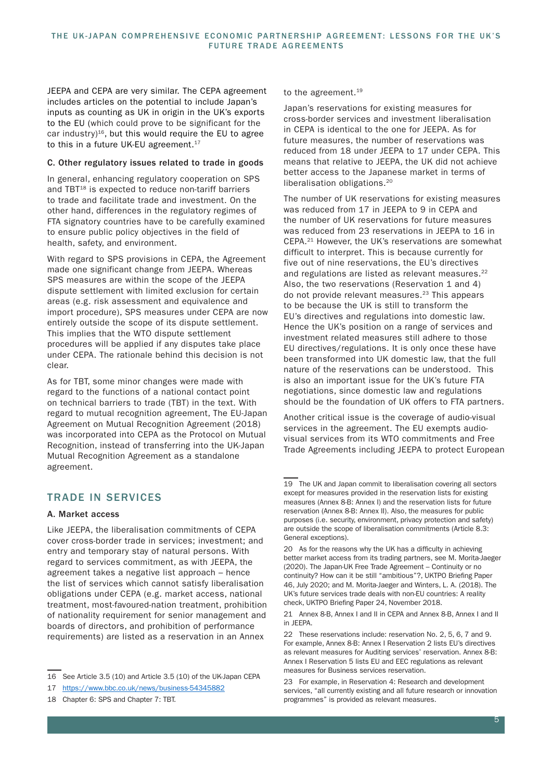JEEPA and CEPA are very similar. The CEPA agreement includes articles on the potential to include Japan's inputs as counting as UK in origin in the UK's exports to the EU (which could prove to be significant for the car industry) $16$ , but this would require the EU to agree to this in a future UK-EU agreement.<sup>17</sup>

#### C. Other regulatory issues related to trade in goods

In general, enhancing regulatory cooperation on SPS and TBT<sup>18</sup> is expected to reduce non-tariff barriers to trade and facilitate trade and investment. On the other hand, differences in the regulatory regimes of FTA signatory countries have to be carefully examined to ensure public policy objectives in the field of health, safety, and environment.

With regard to SPS provisions in CEPA, the Agreement made one significant change from JEEPA. Whereas SPS measures are within the scope of the JEEPA dispute settlement with limited exclusion for certain areas (e.g. risk assessment and equivalence and import procedure), SPS measures under CEPA are now entirely outside the scope of its dispute settlement. This implies that the WTO dispute settlement procedures will be applied if any disputes take place under CEPA. The rationale behind this decision is not clear.

As for TBT, some minor changes were made with regard to the functions of a national contact point on technical barriers to trade (TBT) in the text. With regard to mutual recognition agreement, The EU-Japan Agreement on Mutual Recognition Agreement (2018) was incorporated into CEPA as the Protocol on Mutual Recognition, instead of transferring into the UK-Japan Mutual Recognition Agreement as a standalone agreement.

## TRADE IN SERVICES

#### A. Market access

Like JEEPA, the liberalisation commitments of CEPA cover cross-border trade in services; investment; and entry and temporary stay of natural persons. With regard to services commitment, as with JEEPA, the agreement takes a negative list approach – hence the list of services which cannot satisfy liberalisation obligations under CEPA (e.g. market access, national treatment, most-favoured-nation treatment, prohibition of nationality requirement for senior management and boards of directors, and prohibition of performance requirements) are listed as a reservation in an Annex

### to the agreement.<sup>19</sup>

Japan's reservations for existing measures for cross-border services and investment liberalisation in CEPA is identical to the one for JEEPA. As for future measures, the number of reservations was reduced from 18 under JEEPA to 17 under CEPA. This means that relative to JEEPA, the UK did not achieve better access to the Japanese market in terms of liberalisation obligations.20

The number of UK reservations for existing measures was reduced from 17 in JEEPA to 9 in CEPA and the number of UK reservations for future measures was reduced from 23 reservations in JEEPA to 16 in CEPA.21 However, the UK's reservations are somewhat difficult to interpret. This is because currently for five out of nine reservations, the EU's directives and regulations are listed as relevant measures.<sup>22</sup> Also, the two reservations (Reservation 1 and 4) do not provide relevant measures.23 This appears to be because the UK is still to transform the EU's directives and regulations into domestic law. Hence the UK's position on a range of services and investment related measures still adhere to those EU directives/regulations. It is only once these have been transformed into UK domestic law, that the full nature of the reservations can be understood. This is also an important issue for the UK's future FTA negotiations, since domestic law and regulations should be the foundation of UK offers to FTA partners.

Another critical issue is the coverage of audio-visual services in the agreement. The EU exempts audiovisual services from its WTO commitments and Free Trade Agreements including JEEPA to protect European

<sup>16</sup> See Article 3.5 (10) and Article 3.5 (10) of the UK-Japan CEPA

<sup>17</sup> https://www.bbc.co.uk/news/business-54345882

<sup>18</sup> Chapter 6: SPS and Chapter 7: TBT.

<sup>19</sup> The UK and Japan commit to liberalisation covering all sectors except for measures provided in the reservation lists for existing measures (Annex 8-B: Annex I) and the reservation lists for future reservation (Annex 8-B: Annex II). Also, the measures for public purposes (i.e. security, environment, privacy protection and safety) are outside the scope of liberalisation commitments (Article 8.3: General exceptions).

<sup>20</sup> As for the reasons why the UK has a difficulty in achieving better market access from its trading partners, see M. Morita-Jaeger (2020). The Japan-UK Free Trade Agreement – Continuity or no continuity? How can it be still "ambitious"?, UKTPO Briefing Paper 46, July 2020; and M. Morita-Jaeger and Winters, L. A. (2018). The UK's future services trade deals with non-EU countries: A reality check, UKTPO Briefing Paper 24, November 2018.

<sup>21</sup> Annex 8-B, Annex I and II in CEPA and Annex 8-B, Annex I and II in JEEPA.

<sup>22</sup> These reservations include: reservation No. 2, 5, 6, 7 and 9. For example, Annex 8-B: Annex I Reservation 2 lists EU's directives as relevant measures for Auditing services' reservation. Annex 8-B: Annex I Reservation 5 lists EU and EEC regulations as relevant measures for Business services reservation.

<sup>23</sup> For example, in Reservation 4: Research and development services, "all currently existing and all future research or innovation programmes" is provided as relevant measures.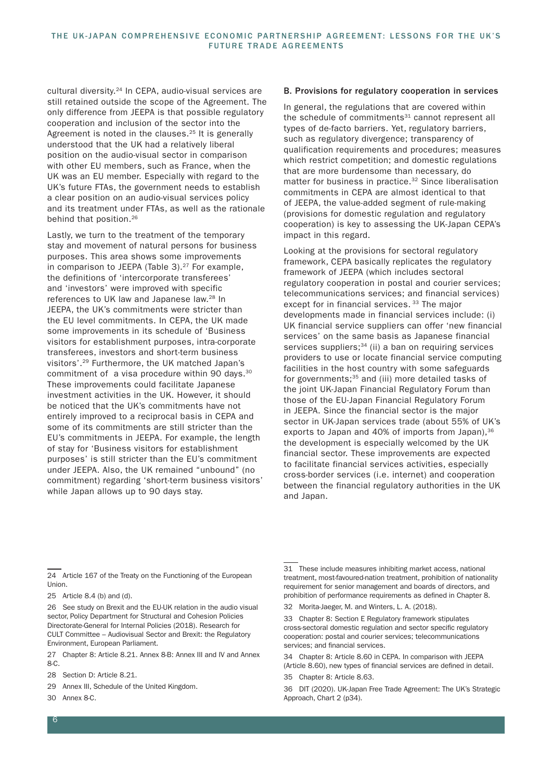cultural diversity.24 In CEPA, audio-visual services are still retained outside the scope of the Agreement. The only difference from JEEPA is that possible regulatory cooperation and inclusion of the sector into the Agreement is noted in the clauses.<sup>25</sup> It is generally understood that the UK had a relatively liberal position on the audio-visual sector in comparison with other EU members, such as France, when the UK was an EU member. Especially with regard to the UK's future FTAs, the government needs to establish a clear position on an audio-visual services policy and its treatment under FTAs, as well as the rationale behind that position.<sup>26</sup>

Lastly, we turn to the treatment of the temporary stay and movement of natural persons for business purposes. This area shows some improvements in comparison to JEEPA (Table 3). $27$  For example, the definitions of 'intercorporate transferees' and 'investors' were improved with specific references to UK law and Japanese law.<sup>28</sup> In JEEPA, the UK's commitments were stricter than the EU level commitments. In CEPA, the UK made some improvements in its schedule of 'Business visitors for establishment purposes, intra-corporate transferees, investors and short-term business visitors'.29 Furthermore, the UK matched Japan's commitment of a visa procedure within 90 days.<sup>30</sup> These improvements could facilitate Japanese investment activities in the UK. However, it should be noticed that the UK's commitments have not entirely improved to a reciprocal basis in CEPA and some of its commitments are still stricter than the EU's commitments in JEEPA. For example, the length of stay for 'Business visitors for establishment purposes' is still stricter than the EU's commitment under JEEPA. Also, the UK remained "unbound" (no commitment) regarding 'short-term business visitors' while Japan allows up to 90 days stay.

#### B. Provisions for regulatory cooperation in services

In general, the regulations that are covered within the schedule of commitments<sup>31</sup> cannot represent all types of de-facto barriers. Yet, regulatory barriers, such as regulatory divergence; transparency of qualification requirements and procedures; measures which restrict competition; and domestic regulations that are more burdensome than necessary, do matter for business in practice.<sup>32</sup> Since liberalisation commitments in CEPA are almost identical to that of JEEPA, the value-added segment of rule-making (provisions for domestic regulation and regulatory cooperation) is key to assessing the UK-Japan CEPA's impact in this regard.

Looking at the provisions for sectoral regulatory framework, CEPA basically replicates the regulatory framework of JEEPA (which includes sectoral regulatory cooperation in postal and courier services; telecommunications services; and financial services) except for in financial services.<sup>33</sup> The major developments made in financial services include: (i) UK financial service suppliers can offer 'new financial services' on the same basis as Japanese financial services suppliers;<sup>34</sup> (ii) a ban on requiring services providers to use or locate financial service computing facilities in the host country with some safeguards for governments;<sup>35</sup> and (iii) more detailed tasks of the joint UK-Japan Financial Regulatory Forum than those of the EU-Japan Financial Regulatory Forum in JEEPA. Since the financial sector is the major sector in UK-Japan services trade (about 55% of UK's exports to Japan and 40% of imports from Japan),  $36$ the development is especially welcomed by the UK financial sector. These improvements are expected to facilitate financial services activities, especially cross-border services (i.e. internet) and cooperation between the financial regulatory authorities in the UK and Japan.

- 29 Annex III, Schedule of the United Kingdom.
- 30 Annex 8-C.

<sup>24</sup> Article 167 of the Treaty on the Functioning of the European **Union** 

<sup>25</sup> Article 8.4 (b) and (d).

<sup>26</sup> See study on Brexit and the EU-UK relation in the audio visual sector, Policy Department for Structural and Cohesion Policies Directorate-General for Internal Policies (2018). Research for CULT Committee – Audiovisual Sector and Brexit: the Regulatory Environment, European Parliament.

<sup>27</sup> Chapter 8: Article 8.21. Annex 8-B: Annex III and IV and Annex 8-C.

<sup>28</sup> Section D: Article 8.21.

<sup>31</sup> These include measures inhibiting market access, national treatment, most-favoured-nation treatment, prohibition of nationality requirement for senior management and boards of directors, and prohibition of performance requirements as defined in Chapter 8.

<sup>32</sup> Morita-Jaeger, M. and Winters, L. A. (2018).

<sup>33</sup> Chapter 8: Section E Regulatory framework stipulates cross-sectoral domestic regulation and sector specific regulatory cooperation: postal and courier services; telecommunications services; and financial services.

<sup>34</sup> Chapter 8: Article 8.60 in CEPA. In comparison with JEEPA (Article 8.60), new types of financial services are defined in detail.

<sup>35</sup> Chapter 8: Article 8.63.

<sup>36</sup> DIT (2020). UK-Japan Free Trade Agreement: The UK's Strategic Approach, Chart 2 (p34).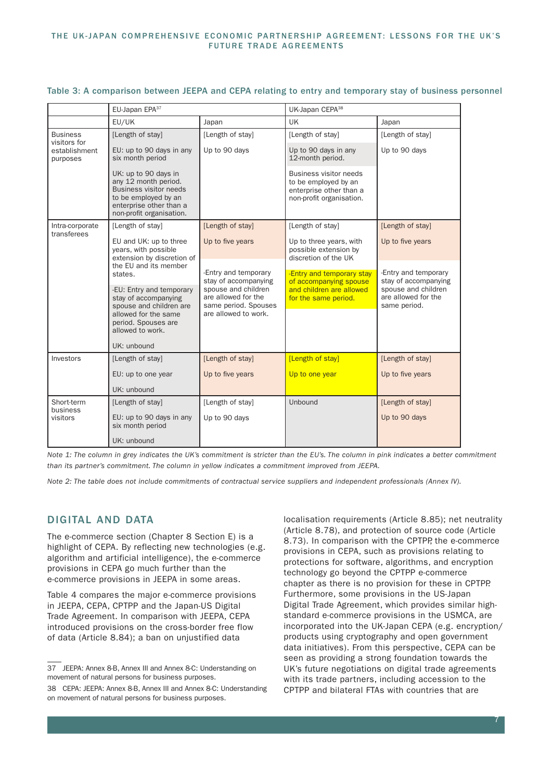|                                                              | EU-Japan EPA <sup>37</sup>                                                                                                                                   |                                                                                            | UK-Japan CEPA <sup>38</sup>                                                                                  |                                                            |  |
|--------------------------------------------------------------|--------------------------------------------------------------------------------------------------------------------------------------------------------------|--------------------------------------------------------------------------------------------|--------------------------------------------------------------------------------------------------------------|------------------------------------------------------------|--|
|                                                              | EU/UK                                                                                                                                                        | Japan                                                                                      | <b>UK</b>                                                                                                    | Japan                                                      |  |
| <b>Business</b><br>visitors for<br>establishment<br>purposes | [Length of stay]                                                                                                                                             | [Length of stay]                                                                           | [Length of stay]                                                                                             | [Length of stay]                                           |  |
|                                                              | EU: up to 90 days in any<br>six month period                                                                                                                 | Up to 90 days                                                                              | Up to 90 days in any<br>12-month period.                                                                     | Up to 90 days                                              |  |
|                                                              | UK: up to 90 days in<br>any 12 month period.<br><b>Business visitor needs</b><br>to be employed by an<br>enterprise other than a<br>non-profit organisation. |                                                                                            | <b>Business visitor needs</b><br>to be employed by an<br>enterprise other than a<br>non-profit organisation. |                                                            |  |
| Intra-corporate                                              | [Length of stay]                                                                                                                                             | [Length of stay]                                                                           | [Length of stay]                                                                                             | [Length of stay]                                           |  |
| transferees                                                  | EU and UK: up to three<br>years, with possible<br>extension by discretion of<br>the EU and its member<br>states.                                             | Up to five years                                                                           | Up to three years, with<br>possible extension by<br>discretion of the UK                                     | Up to five years                                           |  |
|                                                              |                                                                                                                                                              | -Entry and temporary<br>stay of accompanying                                               | -Entry and temporary stay<br>of accompanying spouse                                                          | -Entry and temporary<br>stay of accompanying               |  |
|                                                              | -EU: Entry and temporary<br>stay of accompanying<br>spouse and children are<br>allowed for the same<br>period. Spouses are<br>allowed to work.               | spouse and children<br>are allowed for the<br>same period. Spouses<br>are allowed to work. | and children are allowed<br>for the same period.                                                             | spouse and children<br>are allowed for the<br>same period. |  |
|                                                              | UK: unbound                                                                                                                                                  |                                                                                            |                                                                                                              |                                                            |  |
| Investors                                                    | [Length of stay]                                                                                                                                             | [Length of stay]                                                                           | [Length of stay]                                                                                             | [Length of stay]                                           |  |
|                                                              | EU: up to one year                                                                                                                                           | Up to five years                                                                           | Up to one year                                                                                               | Up to five years                                           |  |
|                                                              | UK: unbound                                                                                                                                                  |                                                                                            |                                                                                                              |                                                            |  |
| Short-term<br>business<br>visitors                           | [Length of stay]                                                                                                                                             | [Length of stay]                                                                           | Unbound                                                                                                      | [Length of stay]                                           |  |
|                                                              | EU: up to 90 days in any<br>six month period                                                                                                                 | Up to 90 days                                                                              |                                                                                                              | Up to 90 days                                              |  |
|                                                              | UK: unbound                                                                                                                                                  |                                                                                            |                                                                                                              |                                                            |  |

#### Table 3: A comparison between JEEPA and CEPA relating to entry and temporary stay of business personnel

*Note 1: The column in grey indicates the UK's commitment is stricter than the EU's. The column in pink indicates a better commitment than its partner's commitment. The column in yellow indicates a commitment improved from JEEPA.*

*Note 2: The table does not include commitments of contractual service suppliers and independent professionals (Annex IV).*

## DIGITAL AND DATA

The e-commerce section (Chapter 8 Section E) is a highlight of CEPA. By reflecting new technologies (e.g. algorithm and artificial intelligence), the e-commerce provisions in CEPA go much further than the e-commerce provisions in JEEPA in some areas.

Table 4 compares the major e-commerce provisions in JEEPA, CEPA, CPTPP and the Japan-US Digital Trade Agreement. In comparison with JEEPA, CEPA introduced provisions on the cross-border free flow of data (Article 8.84); a ban on unjustified data

localisation requirements (Article 8.85); net neutrality (Article 8.78), and protection of source code (Article 8.73). In comparison with the CPTPP, the e-commerce provisions in CEPA, such as provisions relating to protections for software, algorithms, and encryption technology go beyond the CPTPP e-commerce chapter as there is no provision for these in CPTPP. Furthermore, some provisions in the US-Japan Digital Trade Agreement, which provides similar highstandard e-commerce provisions in the USMCA, are incorporated into the UK-Japan CEPA (e.g. encryption/ products using cryptography and open government data initiatives). From this perspective, CEPA can be seen as providing a strong foundation towards the UK's future negotiations on digital trade agreements with its trade partners, including accession to the CPTPP and bilateral FTAs with countries that are

<sup>37</sup> JEEPA: Annex 8-B, Annex III and Annex 8-C: Understanding on movement of natural persons for business purposes.

<sup>38</sup> CEPA: JEEPA: Annex 8-B, Annex III and Annex 8-C: Understanding on movement of natural persons for business purposes.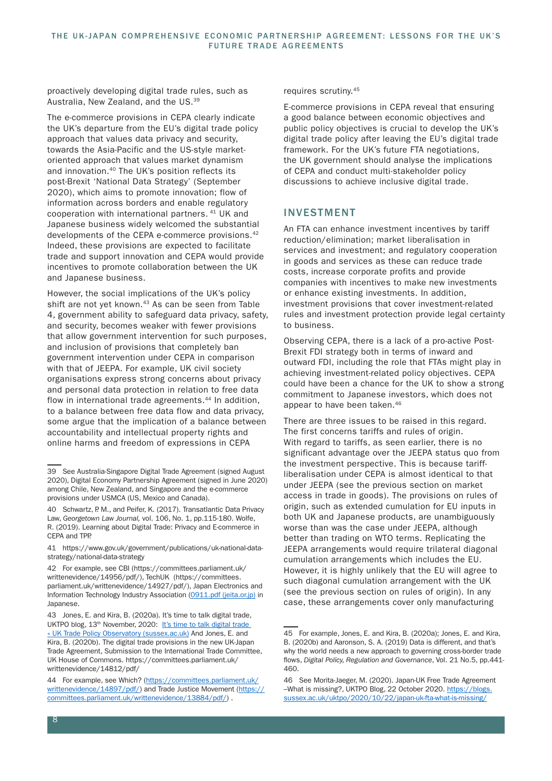proactively developing digital trade rules, such as Australia, New Zealand, and the US.39

The e-commerce provisions in CEPA clearly indicate the UK's departure from the EU's digital trade policy approach that values data privacy and security, towards the Asia-Pacific and the US-style marketoriented approach that values market dynamism and innovation.40 The UK's position reflects its post-Brexit 'National Data Strategy' (September 2020), which aims to promote innovation; flow of information across borders and enable regulatory cooperation with international partners. 41 UK and Japanese business widely welcomed the substantial developments of the CEPA e-commerce provisions.42 Indeed, these provisions are expected to facilitate trade and support innovation and CEPA would provide incentives to promote collaboration between the UK and Japanese business.

However, the social implications of the UK's policy shift are not yet known.<sup>43</sup> As can be seen from Table 4, government ability to safeguard data privacy, safety, and security, becomes weaker with fewer provisions that allow government intervention for such purposes, and inclusion of provisions that completely ban government intervention under CEPA in comparison with that of JEEPA. For example, UK civil society organisations express strong concerns about privacy and personal data protection in relation to free data flow in international trade agreements.<sup>44</sup> In addition, to a balance between free data flow and data privacy, some argue that the implication of a balance between accountability and intellectual property rights and online harms and freedom of expressions in CEPA

requires scrutiny.45

E-commerce provisions in CEPA reveal that ensuring a good balance between economic objectives and public policy objectives is crucial to develop the UK's digital trade policy after leaving the EU's digital trade framework. For the UK's future FTA negotiations, the UK government should analyse the implications of CEPA and conduct multi-stakeholder policy discussions to achieve inclusive digital trade.

## INVESTMENT

An FTA can enhance investment incentives by tariff reduction/elimination; market liberalisation in services and investment; and regulatory cooperation in goods and services as these can reduce trade costs, increase corporate profits and provide companies with incentives to make new investments or enhance existing investments. In addition, investment provisions that cover investment-related rules and investment protection provide legal certainty to business.

Observing CEPA, there is a lack of a pro-active Post-Brexit FDI strategy both in terms of inward and outward FDI, including the role that FTAs might play in achieving investment-related policy objectives. CEPA could have been a chance for the UK to show a strong commitment to Japanese investors, which does not appear to have been taken.<sup>46</sup>

There are three issues to be raised in this regard. The first concerns tariffs and rules of origin. With regard to tariffs, as seen earlier, there is no significant advantage over the JEEPA status quo from the investment perspective. This is because tariffliberalisation under CEPA is almost identical to that under JEEPA (see the previous section on market access in trade in goods). The provisions on rules of origin, such as extended cumulation for EU inputs in both UK and Japanese products, are unambiguously worse than was the case under JEEPA, although better than trading on WTO terms. Replicating the JEEPA arrangements would require trilateral diagonal cumulation arrangements which includes the EU. However, it is highly unlikely that the EU will agree to such diagonal cumulation arrangement with the UK (see the previous section on rules of origin). In any case, these arrangements cover only manufacturing

<sup>39</sup> See Australia-Singapore Digital Trade Agreement (signed August 2020), Digital Economy Partnership Agreement (signed in June 2020) among Chile, New Zealand, and Singapore and the e-commerce provisions under USMCA (US, Mexico and Canada).

<sup>40</sup> Schwartz, P. M., and Peifer, K. (2017). Transatlantic Data Privacy Law, *Georgetown Law Journal,* vol. 106, No. 1, pp.115-180. Wolfe, R. (2019). Learning about Digital Trade: Privacy and E-commerce in CEPA and TPP.

<sup>41</sup> https://www.gov.uk/government/publications/uk-national-datastrategy/national-data-strategy

<sup>42</sup> For example, see CBI (https://committees.parliament.uk/ writtenevidence/14956/pdf/), TechUK (https://committees. parliament.uk/writtenevidence/14927/pdf/), Japan Electronics and Information Technology Industry Association (0911.pdf (jeita.or.jp) in Japanese.

<sup>43</sup> Jones, E. and Kira, B. (2020a). It's time to talk digital trade, UKTPO blog, 13<sup>th</sup> November, 2020: It's time to talk digital trade « UK Trade Policy Observatory (sussex.ac.uk) And Jones, E. and Kira, B. (2020b). The digital trade provisions in the new UK-Japan Trade Agreement, Submission to the International Trade Committee, UK House of Commons. https://committees.parliament.uk/ writtenevidence/14812/pdf/

<sup>44</sup> For example, see Which? (https://committees.parliament.uk/ writtenevidence/14897/pdf/) and Trade Justice Movement (https:// committees.parliament.uk/writtenevidence/13884/pdf/) .

<sup>45</sup> For example, Jones, E. and Kira, B. (2020a); Jones, E. and Kira, B. (2020b) and Aaronson, S. A. (2019) Data is different, and that's why the world needs a new approach to governing cross-border trade flows, *Digital Policy, Regulation and Governance*, Vol. 21 No.5, pp.441- 460.

<sup>46</sup> See Morita-Jaeger, M. (2020). Japan-UK Free Trade Agreement –What is missing?, UKTPO Blog, 22 October 2020. https://blogs. sussex.ac.uk/uktpo/2020/10/22/japan-uk-fta-what-is-missing/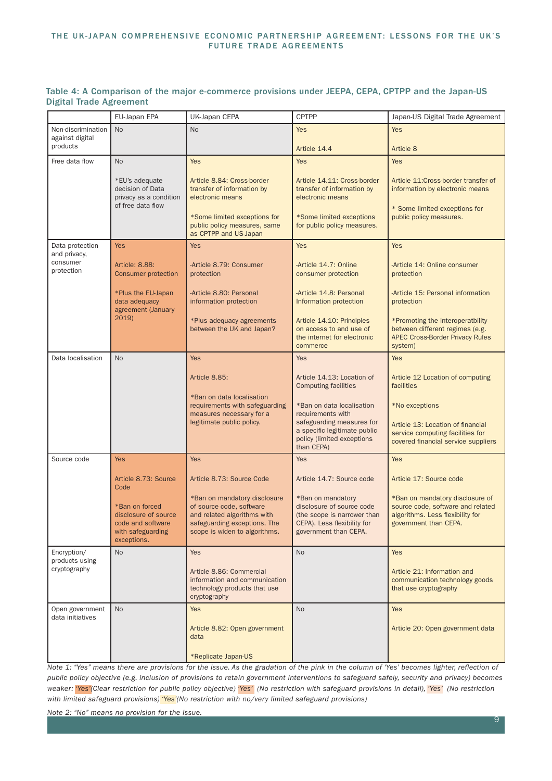#### THE UK-JAPAN COMPREHENSIVE ECONOMIC PARTNERSHIP AGREEMENT: LESSONS FOR THE UK'S FUTURE TRADE AGREEMENTS

|                                        | EU-Japan EPA                                                                                    | UK-Japan CEPA                                                                                                                                            | <b>CPTPP</b>                                                                                                                                            | Japan-US Digital Trade Agreement                                                                                                   |  |
|----------------------------------------|-------------------------------------------------------------------------------------------------|----------------------------------------------------------------------------------------------------------------------------------------------------------|---------------------------------------------------------------------------------------------------------------------------------------------------------|------------------------------------------------------------------------------------------------------------------------------------|--|
| Non-discrimination                     | <b>No</b>                                                                                       | <b>No</b><br>Yes                                                                                                                                         |                                                                                                                                                         | <b>Yes</b>                                                                                                                         |  |
| against digital                        |                                                                                                 |                                                                                                                                                          |                                                                                                                                                         |                                                                                                                                    |  |
| products                               |                                                                                                 |                                                                                                                                                          | Article 14.4                                                                                                                                            | Article 8                                                                                                                          |  |
| Free data flow                         | N <sub>o</sub>                                                                                  | <b>Yes</b>                                                                                                                                               | <b>Yes</b>                                                                                                                                              | <b>Yes</b>                                                                                                                         |  |
|                                        | *EU's adequate<br>decision of Data<br>privacy as a condition<br>of free data flow               | Article 8.84: Cross-border<br>transfer of information by<br>electronic means<br>*Some limited exceptions for                                             | Article 14.11: Cross-border<br>transfer of information by<br>electronic means<br>*Some limited exceptions                                               | Article 11:Cross-border transfer of<br>information by electronic means<br>* Some limited exceptions for<br>public policy measures. |  |
|                                        |                                                                                                 | public policy measures, same<br>as CPTPP and US-Japan                                                                                                    | for public policy measures.                                                                                                                             |                                                                                                                                    |  |
| Data protection                        | <b>Yes</b>                                                                                      | <b>Yes</b>                                                                                                                                               | <b>Yes</b>                                                                                                                                              | <b>Yes</b>                                                                                                                         |  |
| and privacy,<br>consumer<br>protection | Article: 8.88:<br><b>Consumer protection</b>                                                    | -Article 8.79: Consumer<br>protection                                                                                                                    | -Article 14.7: Online<br>consumer protection                                                                                                            | -Article 14: Online consumer<br>protection                                                                                         |  |
|                                        | *Plus the EU-Japan<br>data adequacy<br>agreement (January                                       | -Article 8.80: Personal<br>information protection                                                                                                        | -Article 14.8: Personal<br>Information protection                                                                                                       | -Article 15: Personal information<br>protection                                                                                    |  |
|                                        | 2019)                                                                                           | *Plus adequacy agreements<br>between the UK and Japan?                                                                                                   | Article 14.10: Principles<br>on access to and use of<br>the internet for electronic<br>commerce                                                         | *Promoting the interoperatbility<br>between different regimes (e.g.<br><b>APEC Cross-Border Privacy Rules</b><br>system)           |  |
| Data localisation                      | No                                                                                              | <b>Yes</b>                                                                                                                                               | Yes                                                                                                                                                     | <b>Yes</b>                                                                                                                         |  |
|                                        |                                                                                                 | Article 8.85:                                                                                                                                            | Article 14.13: Location of<br><b>Computing facilities</b>                                                                                               | Article 12 Location of computing<br>facilities                                                                                     |  |
|                                        |                                                                                                 | *Ban on data localisation<br>requirements with safeguarding<br>measures necessary for a<br>legitimate public policy.                                     | *Ban on data localisation<br>requirements with<br>safeguarding measures for<br>a specific legitimate public<br>policy (limited exceptions<br>than CEPA) | *No exceptions<br>Article 13: Location of financial<br>service computing facilities for<br>covered financial service suppliers     |  |
| Source code                            | <b>Yes</b>                                                                                      | <b>Yes</b>                                                                                                                                               | <b>Yes</b>                                                                                                                                              | <b>Yes</b>                                                                                                                         |  |
|                                        | Article 8.73: Source<br>Code                                                                    | Article 8.73: Source Code                                                                                                                                | Article 14.7: Source code                                                                                                                               | Article 17: Source code                                                                                                            |  |
|                                        | *Ban on forced<br>disclosure of source<br>code and software<br>with safeguarding<br>exceptions. | *Ban on mandatory disclosure<br>of source code, software<br>and related algorithms with<br>safeguarding exceptions. The<br>scope is widen to algorithms. | *Ban on mandatory<br>disclosure of source code<br>(the scope is narrower than<br>CEPA). Less flexibility for<br>government than CEPA.                   | *Ban on mandatory disclosure of<br>source code, software and related<br>algorithms. Less flexibility for<br>government than CEPA.  |  |
| Encryption/<br>products using          | No                                                                                              | <b>Yes</b>                                                                                                                                               | <b>No</b>                                                                                                                                               | <b>Yes</b>                                                                                                                         |  |
| cryptography                           |                                                                                                 | Article 8.86: Commercial<br>information and communication<br>technology products that use<br>cryptography                                                |                                                                                                                                                         | Article 21: Information and<br>communication technology goods<br>that use cryptography                                             |  |
| Open government<br>data initiatives    | <b>No</b>                                                                                       | <b>Yes</b>                                                                                                                                               | <b>No</b>                                                                                                                                               | <b>Yes</b>                                                                                                                         |  |
|                                        |                                                                                                 | Article 8.82: Open government<br>data<br>*Replicate Japan-US                                                                                             |                                                                                                                                                         | Article 20: Open government data                                                                                                   |  |

#### Table 4: A Comparison of the major e-commerce provisions under JEEPA, CEPA, CPTPP and the Japan-US Digital Trade Agreement

*Note 1: "Yes" means there are provisions for the issue. As the gradation of the pink in the column of 'Yes' becomes lighter, reflection of public policy objective (e.g. inclusion of provisions to retain government interventions to safeguard safely, security and privacy) becomes weaker: 'Yes'(Clear restriction for public policy objective) 'Yes' (No restriction with safeguard provisions in detail), 'Yes' (No restriction*  with limited safeguard provisions) 'Yes'(No restriction with no/very limited safeguard provisions)

*Note 2: "No" means no provision for the issue.*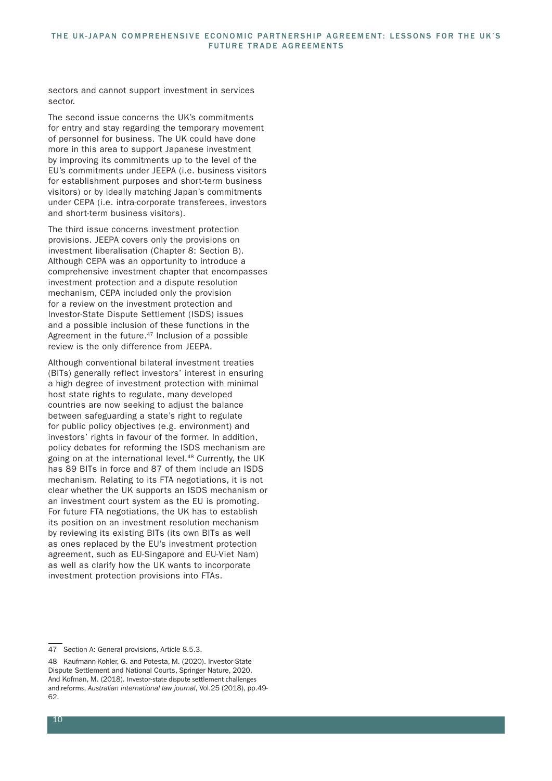sectors and cannot support investment in services sector.

The second issue concerns the UK's commitments for entry and stay regarding the temporary movement of personnel for business. The UK could have done more in this area to support Japanese investment by improving its commitments up to the level of the EU's commitments under JEEPA (i.e. business visitors for establishment purposes and short-term business visitors) or by ideally matching Japan's commitments under CEPA (i.e. intra-corporate transferees, investors and short-term business visitors).

The third issue concerns investment protection provisions. JEEPA covers only the provisions on investment liberalisation (Chapter 8: Section B). Although CEPA was an opportunity to introduce a comprehensive investment chapter that encompasses investment protection and a dispute resolution mechanism, CEPA included only the provision for a review on the investment protection and Investor-State Dispute Settlement (ISDS) issues and a possible inclusion of these functions in the Agreement in the future.<sup>47</sup> Inclusion of a possible review is the only difference from JEEPA.

Although conventional bilateral investment treaties (BITs) generally reflect investors' interest in ensuring a high degree of investment protection with minimal host state rights to regulate, many developed countries are now seeking to adjust the balance between safeguarding a state's right to regulate for public policy objectives (e.g. environment) and investors' rights in favour of the former. In addition, policy debates for reforming the ISDS mechanism are going on at the international level.<sup>48</sup> Currently, the UK has 89 BITs in force and 87 of them include an ISDS mechanism. Relating to its FTA negotiations, it is not clear whether the UK supports an ISDS mechanism or an investment court system as the EU is promoting. For future FTA negotiations, the UK has to establish its position on an investment resolution mechanism by reviewing its existing BITs (its own BITs as well as ones replaced by the EU's investment protection agreement, such as EU-Singapore and EU-Viet Nam) as well as clarify how the UK wants to incorporate investment protection provisions into FTAs.

<sup>47</sup> Section A: General provisions, Article 8.5.3.

<sup>48</sup> Kaufmann-Kohler, G. and Potesta, M. (2020). Investor-State Dispute Settlement and National Courts, Springer Nature, 2020. And Kofman, M. (2018). Investor-state dispute settlement challenges and reforms, *Australian international law journal*, Vol.25 (2018), pp.49- 62.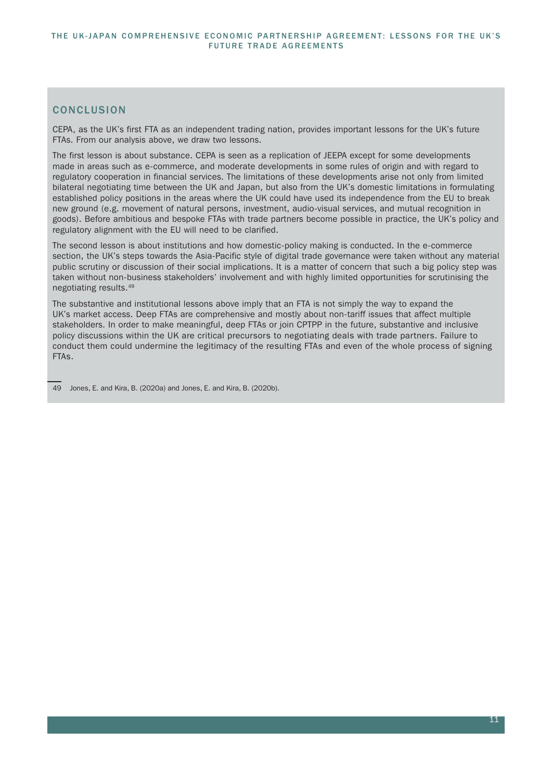## **CONCLUSION**

CEPA, as the UK's first FTA as an independent trading nation, provides important lessons for the UK's future FTAs. From our analysis above, we draw two lessons.

The first lesson is about substance. CEPA is seen as a replication of JEEPA except for some developments made in areas such as e-commerce, and moderate developments in some rules of origin and with regard to regulatory cooperation in financial services. The limitations of these developments arise not only from limited bilateral negotiating time between the UK and Japan, but also from the UK's domestic limitations in formulating established policy positions in the areas where the UK could have used its independence from the EU to break new ground (e.g. movement of natural persons, investment, audio-visual services, and mutual recognition in goods). Before ambitious and bespoke FTAs with trade partners become possible in practice, the UK's policy and regulatory alignment with the EU will need to be clarified.

The second lesson is about institutions and how domestic-policy making is conducted. In the e-commerce section, the UK's steps towards the Asia-Pacific style of digital trade governance were taken without any material public scrutiny or discussion of their social implications. It is a matter of concern that such a big policy step was taken without non-business stakeholders' involvement and with highly limited opportunities for scrutinising the negotiating results.49

The substantive and institutional lessons above imply that an FTA is not simply the way to expand the UK's market access. Deep FTAs are comprehensive and mostly about non-tariff issues that affect multiple stakeholders. In order to make meaningful, deep FTAs or join CPTPP in the future, substantive and inclusive policy discussions within the UK are critical precursors to negotiating deals with trade partners. Failure to conduct them could undermine the legitimacy of the resulting FTAs and even of the whole process of signing FTAs.

<sup>49</sup> Jones, E. and Kira, B. (2020a) and Jones, E. and Kira, B. (2020b).